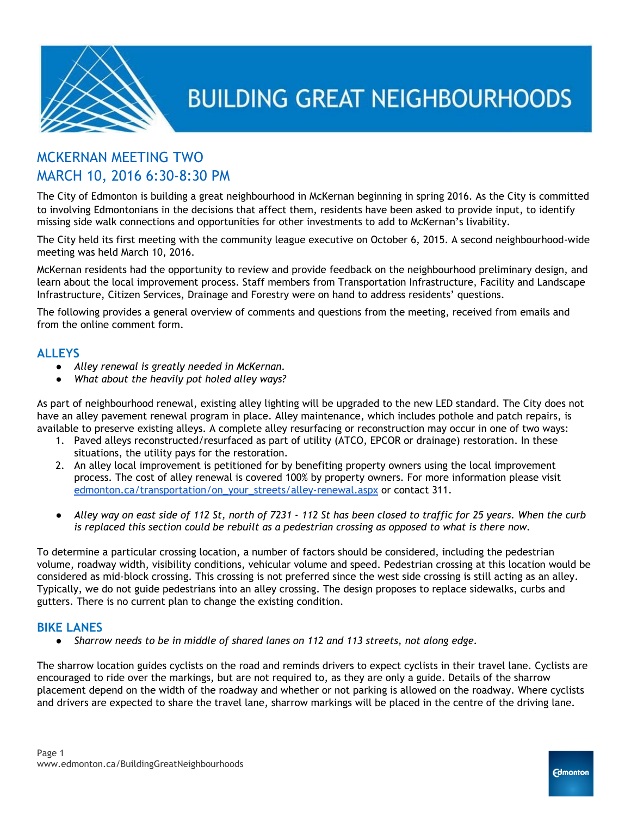

## MCKERNAN MEETING TWO MARCH 10, 2016 6:30-8:30 PM

The City of Edmonton is building a great neighbourhood in McKernan beginning in spring 2016. As the City is committed to involving Edmontonians in the decisions that affect them, residents have been asked to provide input, to identify missing side walk connections and opportunities for other investments to add to McKernan's livability.

The City held its first meeting with the community league executive on October 6, 2015. A second neighbourhood-wide meeting was held March 10, 2016.

McKernan residents had the opportunity to review and provide feedback on the neighbourhood preliminary design, and learn about the local improvement process. Staff members from Transportation Infrastructure, Facility and Landscape Infrastructure, Citizen Services, Drainage and Forestry were on hand to address residents' questions.

The following provides a general overview of comments and questions from the meeting, received from emails and from the online comment form.

#### **ALLEYS**

- *● Alley renewal is greatly needed in McKernan.*
- *● What about the heavily pot holed alley ways?*

As part of neighbourhood renewal, existing alley lighting will be upgraded to the new LED standard. The City does not have an alley pavement renewal program in place. Alley maintenance, which includes pothole and patch repairs, is available to preserve existing alleys. A complete alley resurfacing or reconstruction may occur in one of two ways:

- 1. Paved alleys reconstructed/resurfaced as part of utility (ATCO, EPCOR or drainage) restoration. In these situations, the utility pays for the restoration.
- 2. An alley local improvement is petitioned for by benefiting property owners using the local improvement process. The cost of alley renewal is covered 100% by property owners. For more information please visit [edmonton.ca/transportation/on\\_your\\_streets/alley-renewal.aspx](http://edmonton.ca/transportation/on_your_streets/alley-renewal.aspx) or contact 311.
- *● Alley way on east side of 112 St, north of 7231 112 St has been closed to traffic for 25 years. When the curb is replaced this section could be rebuilt as a pedestrian crossing as opposed to what is there now.*

To determine a particular crossing location, a number of factors should be considered, including the pedestrian volume, roadway width, visibility conditions, vehicular volume and speed. Pedestrian crossing at this location would be considered as mid-block crossing. This crossing is not preferred since the west side crossing is still acting as an alley. Typically, we do not guide pedestrians into an alley crossing. The design proposes to replace sidewalks, curbs and gutters. There is no current plan to change the existing condition.

#### **BIKE LANES**

*● Sharrow needs to be in middle of shared lanes on 112 and 113 streets, not along edge.*

The sharrow location guides cyclists on the road and reminds drivers to expect cyclists in their travel lane. Cyclists are encouraged to ride over the markings, but are not required to, as they are only a guide. Details of the sharrow placement depend on the width of the roadway and whether or not parking is allowed on the roadway. Where cyclists and drivers are expected to share the travel lane, sharrow markings will be placed in the centre of the driving lane.

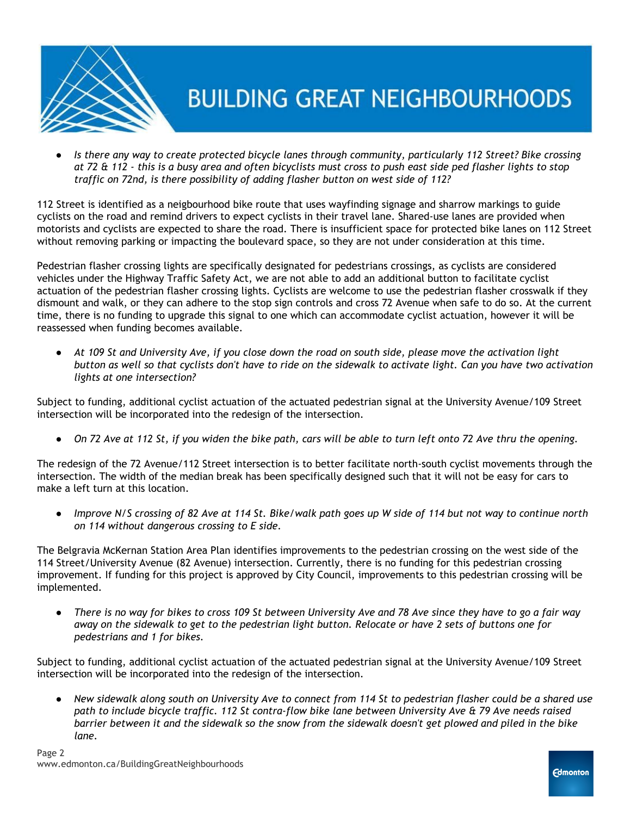

*● Is there any way to create protected bicycle lanes through community, particularly 112 Street? Bike crossing at 72 & 112 - this is a busy area and often bicyclists must cross to push east side ped flasher lights to stop traffic on 72nd, is there possibility of adding flasher button on west side of 112?*

112 Street is identified as a neigbourhood bike route that uses wayfinding signage and sharrow markings to guide cyclists on the road and remind drivers to expect cyclists in their travel lane. Shared-use lanes are provided when motorists and cyclists are expected to share the road. There is insufficient space for protected bike lanes on 112 Street without removing parking or impacting the boulevard space, so they are not under consideration at this time.

Pedestrian flasher crossing lights are specifically designated for pedestrians crossings, as cyclists are considered vehicles under the Highway Traffic Safety Act, we are not able to add an additional button to facilitate cyclist actuation of the pedestrian flasher crossing lights. Cyclists are welcome to use the pedestrian flasher crosswalk if they dismount and walk, or they can adhere to the stop sign controls and cross 72 Avenue when safe to do so. At the current time, there is no funding to upgrade this signal to one which can accommodate cyclist actuation, however it will be reassessed when funding becomes available.

*● At 109 St and University Ave, if you close down the road on south side, please move the activation light button as well so that cyclists don't have to ride on the sidewalk to activate light. Can you have two activation lights at one intersection?*

Subject to funding, additional cyclist actuation of the actuated pedestrian signal at the University Avenue/109 Street intersection will be incorporated into the redesign of the intersection.

*● On 72 Ave at 112 St, if you widen the bike path, cars will be able to turn left onto 72 Ave thru the opening.*

The redesign of the 72 Avenue/112 Street intersection is to better facilitate north-south cyclist movements through the intersection. The width of the median break has been specifically designed such that it will not be easy for cars to make a left turn at this location.

*● Improve N/S crossing of 82 Ave at 114 St. Bike/walk path goes up W side of 114 but not way to continue north on 114 without dangerous crossing to E side.*

The Belgravia McKernan Station Area Plan identifies improvements to the pedestrian crossing on the west side of the 114 Street/University Avenue (82 Avenue) intersection. Currently, there is no funding for this pedestrian crossing improvement. If funding for this project is approved by City Council, improvements to this pedestrian crossing will be implemented.

*● There is no way for bikes to cross 109 St between University Ave and 78 Ave since they have to go a fair way away on the sidewalk to get to the pedestrian light button. Relocate or have 2 sets of buttons one for pedestrians and 1 for bikes.*

Subject to funding, additional cyclist actuation of the actuated pedestrian signal at the University Avenue/109 Street intersection will be incorporated into the redesign of the intersection.

*● New sidewalk along south on University Ave to connect from 114 St to pedestrian flasher could be a shared use path to include bicycle traffic. 112 St contra-flow bike lane between University Ave & 79 Ave needs raised barrier between it and the sidewalk so the snow from the sidewalk doesn't get plowed and piled in the bike lane.*

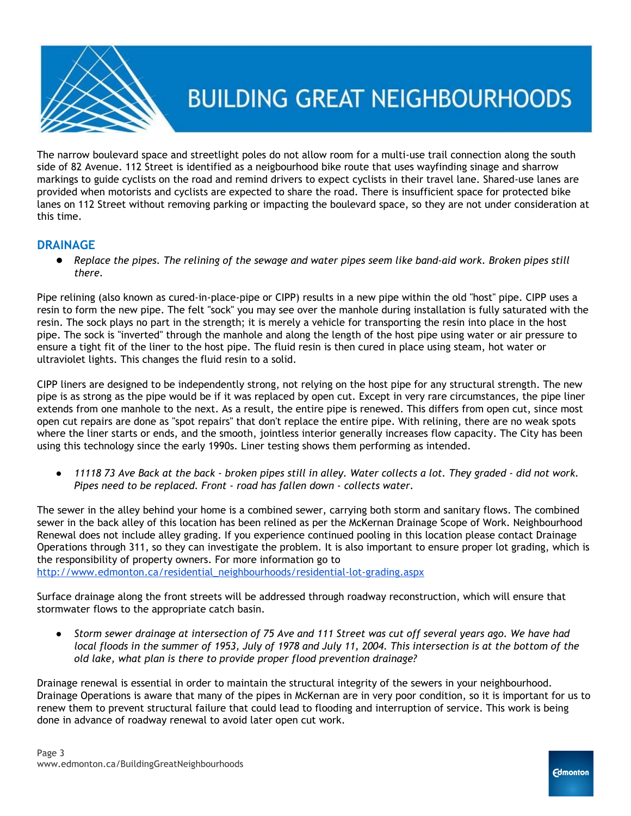

The narrow boulevard space and streetlight poles do not allow room for a multi-use trail connection along the south side of 82 Avenue. 112 Street is identified as a neigbourhood bike route that uses wayfinding sinage and sharrow markings to guide cyclists on the road and remind drivers to expect cyclists in their travel lane. Shared-use lanes are provided when motorists and cyclists are expected to share the road. There is insufficient space for protected bike lanes on 112 Street without removing parking or impacting the boulevard space, so they are not under consideration at this time.

### **DRAINAGE**

● *Replace the pipes. The relining of the sewage and water pipes seem like band-aid work. Broken pipes still there.*

Pipe relining (also known as cured-in-place-pipe or CIPP) results in a new pipe within the old "host" pipe. CIPP uses a resin to form the new pipe. The felt "sock" you may see over the manhole during installation is fully saturated with the resin. The sock plays no part in the strength; it is merely a vehicle for transporting the resin into place in the host pipe. The sock is "inverted" through the manhole and along the length of the host pipe using water or air pressure to ensure a tight fit of the liner to the host pipe. The fluid resin is then cured in place using steam, hot water or ultraviolet lights. This changes the fluid resin to a solid.

CIPP liners are designed to be independently strong, not relying on the host pipe for any structural strength. The new pipe is as strong as the pipe would be if it was replaced by open cut. Except in very rare circumstances, the pipe liner extends from one manhole to the next. As a result, the entire pipe is renewed. This differs from open cut, since most open cut repairs are done as "spot repairs" that don't replace the entire pipe. With relining, there are no weak spots where the liner starts or ends, and the smooth, jointless interior generally increases flow capacity. The City has been using this technology since the early 1990s. Liner testing shows them performing as intended.

*● 11118 73 Ave Back at the back - broken pipes still in alley. Water collects a lot. They graded - did not work. Pipes need to be replaced. Front - road has fallen down - collects water.*

The sewer in the alley behind your home is a combined sewer, carrying both storm and sanitary flows. The combined sewer in the back alley of this location has been relined as per the McKernan Drainage Scope of Work. Neighbourhood Renewal does not include alley grading. If you experience continued pooling in this location please contact Drainage Operations through 311, so they can investigate the problem. It is also important to ensure proper lot grading, which is the responsibility of property owners. For more information go to

[http://www.edmonton.ca/residential\\_neighbourhoods/residential-lot-grading.aspx](http://www.edmonton.ca/residential_neighbourhoods/residential-lot-grading.aspx)

Surface drainage along the front streets will be addressed through roadway reconstruction, which will ensure that stormwater flows to the appropriate catch basin.

*● Storm sewer drainage at intersection of 75 Ave and 111 Street was cut off several years ago. We have had local floods in the summer of 1953, July of 1978 and July 11, 2004. This intersection is at the bottom of the old lake, what plan is there to provide proper flood prevention drainage?*

Drainage renewal is essential in order to maintain the structural integrity of the sewers in your neighbourhood. Drainage Operations is aware that many of the pipes in McKernan are in very poor condition, so it is important for us to renew them to prevent structural failure that could lead to flooding and interruption of service. This work is being done in advance of roadway renewal to avoid later open cut work.

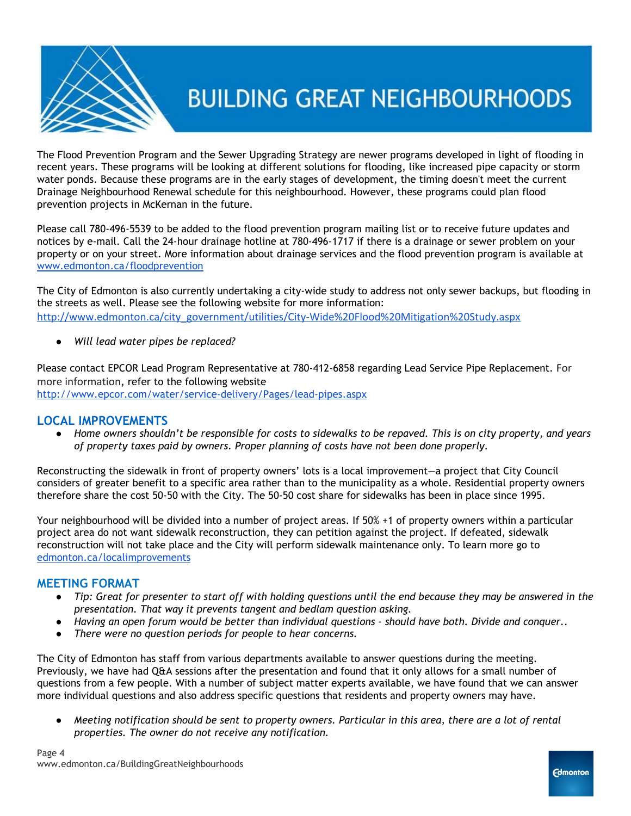

The Flood Prevention Program and the Sewer Upgrading Strategy are newer programs developed in light of flooding in recent years. These programs will be looking at different solutions for flooding, like increased pipe capacity or storm water ponds. Because these programs are in the early stages of development, the timing doesn't meet the current Drainage Neighbourhood Renewal schedule for this neighbourhood. However, these programs could plan flood prevention projects in McKernan in the future.

Please call 780-496-5539 to be added to the flood prevention program mailing list or to receive future updates and notices by e-mail. Call the 24-hour drainage hotline at 780-496-1717 if there is a drainage or sewer problem on your property or on your street. More information about drainage services and the flood prevention program is available a[t](http://www.edmonton.ca/floodprevention) [www.edmonton.ca/floodprevention](http://www.edmonton.ca/floodprevention)

[The City of Edmonton is also currently](http://www.edmonton.ca/floodprevention) undertaking a city-wide study to address not only sewer backups, but flooding in [the streets as well. Please see the following website](http://www.edmonton.ca/floodprevention) for more information: [http://www.edmonton.ca/city\\_government/utilities/City-Wide%20Flood%20Mitigation%20Study.aspx](http://www.edmonton.ca/city_government/utilities/City-Wide%20Flood%20Mitigation%20Study.aspx)

*● Will lead water pipes be replaced?*

Please contact EPCOR Lead Program Representative at 780-412-6858 regarding Lead Service Pipe Replacement. [For](http://www.edmonton.ca/floodprevention) [more information](http://www.edmonton.ca/floodprevention), refer to the following website <http://www.epcor.com/water/service-delivery/Pages/lead-pipes.aspx>

#### **LOCAL IMPROVEMENTS**

*● Home owners shouldn't be responsible for costs to sidewalks to be repaved. This is on city property, and years of property taxes paid by owners. Proper planning of costs have not been done properly.*

Reconstructing the sidewalk in front of property owners' lots is a local improvement—a project that City Council considers of greater benefit to a specific area rather than to the municipality as a whole. Residential property owners therefore share the cost 50-50 with the City. The 50-50 cost share for sidewalks has been in place since 1995.

Your neighbourhood will be divided into a number of project areas. If 50% +1 of property owners within a particular project area do not want sidewalk reconstruction, they can petition against the project. If defeated, sidewalk reconstruction will not take place and the City will perform sidewalk maintenance only. To learn more go to [edmonton.ca/localimprovements](http://edmonton.ca/localimprovements)

### **MEETING FORMAT**

- *● Tip: Great for presenter to start off with holding questions until the end because they may be answered in the presentation. That way it prevents tangent and bedlam question asking.*
- *● Having an open forum would be better than individual questions should have both. Divide and conquer..*
- *● There were no question periods for people to hear concerns.*

The City of Edmonton has staff from various departments available to answer questions during the meeting. Previously, we have had Q&A sessions after the presentation and found that it only allows for a small number of questions from a few people. With a number of subject matter experts available, we have found that we can answer more individual questions and also address specific questions that residents and property owners may have.

*● Meeting notification should be sent to property owners. Particular in this area, there are a lot of rental properties. The owner do not receive any notification.*

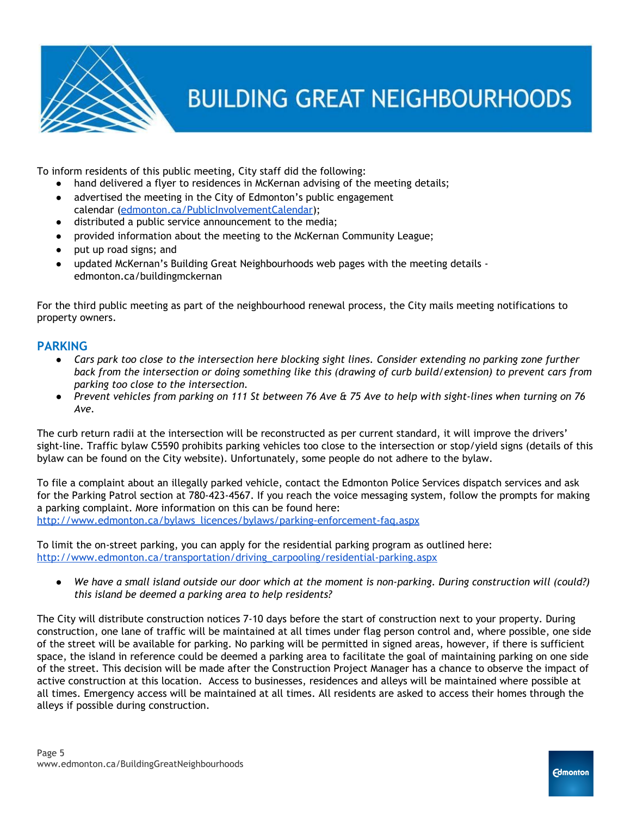

To inform residents of this public meeting, City staff did the following:

- hand delivered a flyer to residences in McKernan advising of the meeting details;
- advertised the meeting in the City of Edmonton's public engagement calendar [\(edmonton.ca/PublicInvolvementCalendar\)](http://edmonton.ca/PublicInvolvementCalendar);
- distributed a public service announcement to the media;
- provided information about the meeting to the McKernan Community League;
- put up road signs; and
- updated McKernan's Building Great Neighbourhoods web pages with the meeting details edmonton.ca/buildingmckernan

For the third public meeting as part of the neighbourhood renewal process, the City mails meeting notifications to property owners.

### **PARKING**

- *Cars park too close to the intersection here blocking sight lines. Consider extending no parking zone further back from the intersection or doing something like this (drawing of curb build/extension) to prevent cars from parking too close to the intersection.*
- *● Prevent vehicles from parking on 111 St between 76 Ave & 75 Ave to help with sight-lines when turning on 76 Ave.*

The curb return radii at the intersection will be reconstructed as per current standard, it will improve the drivers' sight-line. Traffic bylaw C5590 prohibits parking vehicles too close to the intersection or stop/yield signs (details of this bylaw can be found on the City website). Unfortunately, some people do not adhere to the bylaw.

To file a complaint about an illegally parked vehicle, contact the Edmonton Police Services dispatch services and ask for the Parking Patrol section at 780-423-4567. If you reach the voice messaging system, follow the prompts for making a parking complaint. More information on this can be found here: [http://www.edmonton.ca/bylaws\\_licences/bylaws/parking-enforcement-faq.aspx](http://www.edmonton.ca/bylaws_licences/bylaws/parking-enforcement-faq.aspx)

To limit the on-street parking, you can apply for the residential parking program as outlined here: [http://www.edmonton.ca/transportation/driving\\_carpooling/residential-parking.aspx](http://www.edmonton.ca/transportation/driving_carpooling/residential-parking.aspx)

*● We have a small island outside our door which at the moment is non-parking. During construction will (could?) this island be deemed a parking area to help residents?*

The City will distribute construction notices 7-10 days before the start of construction next to your property. During construction, one lane of traffic will be maintained at all times under flag person control and, where possible, one side of the street will be available for parking. No parking will be permitted in signed areas, however, if there is sufficient space, the island in reference could be deemed a parking area to facilitate the goal of maintaining parking on one side of the street. This decision will be made after the Construction Project Manager has a chance to observe the impact of active construction at this location. Access to businesses, residences and alleys will be maintained where possible at all times. Emergency access will be maintained at all times. All residents are asked to access their homes through the alleys if possible during construction.

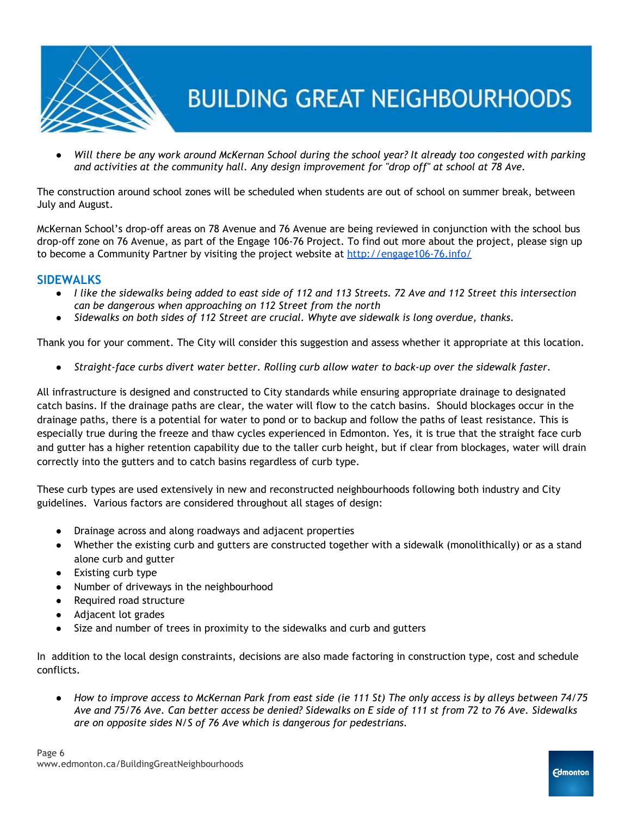

*● Will there be any work around McKernan School during the school year? It already too congested with parking and activities at the community hall. Any design improvement for "drop off" at school at 78 Ave.*

The construction around school zones will be scheduled when students are out of school on summer break, between July and August.

McKernan School's drop-off areas on 78 Avenue and 76 Avenue are being reviewed in conjunction with the school bus drop-off zone on 76 Avenue, as part of the Engage 106-76 Project. To find out more about the project, please sign up to become a Community Partner by visiting the project website at <http://engage106-76.info/>

### **SIDEWALKS**

- *I like the sidewalks being added to east side of 112 and 113 Streets. 72 Ave and 112 Street this intersection can be dangerous when approaching on 112 Street from the north*
- *Sidewalks on both sides of 112 Street are crucial. Whyte ave sidewalk is long overdue, thanks.*

Thank you for your comment. The City will consider this suggestion and assess whether it appropriate at this location.

● *Straight-face curbs divert water better. Rolling curb allow water to back-up over the sidewalk faster.*

All infrastructure is designed and constructed to City standards while ensuring appropriate drainage to designated catch basins. If the drainage paths are clear, the water will flow to the catch basins. Should blockages occur in the drainage paths, there is a potential for water to pond or to backup and follow the paths of least resistance. This is especially true during the freeze and thaw cycles experienced in Edmonton. Yes, it is true that the straight face curb and gutter has a higher retention capability due to the taller curb height, but if clear from blockages, water will drain correctly into the gutters and to catch basins regardless of curb type.

These curb types are used extensively in new and reconstructed neighbourhoods following both industry and City guidelines. Various factors are considered throughout all stages of design:

- Drainage across and along roadways and adjacent properties
- Whether the existing curb and gutters are constructed together with a sidewalk (monolithically) or as a stand alone curb and gutter
- Existing curb type
- Number of driveways in the neighbourhood
- Required road structure
- Adjacent lot grades
- Size and number of trees in proximity to the sidewalks and curb and gutters

In addition to the local design constraints, decisions are also made factoring in construction type, cost and schedule conflicts.

*● How to improve access to McKernan Park from east side (ie 111 St) The only access is by alleys between 74/75 Ave and 75/76 Ave. Can better access be denied? Sidewalks on E side of 111 st from 72 to 76 Ave. Sidewalks are on opposite sides N/S of 76 Ave which is dangerous for pedestrians.*

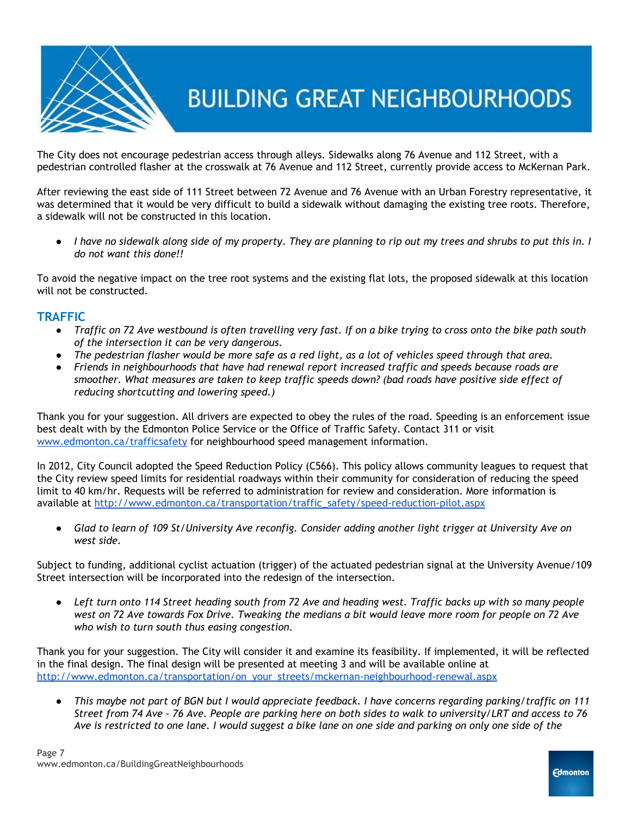

The City does not encourage pedestrian access through alleys. Sidewalks along 76 Avenue and 112 Street, with a pedestrian controlled flasher at the crosswalk at 76 Avenue and 112 Street, currently provide access to McKernan Park.

After reviewing the east side of 111 Street between 72 Avenue and 76 Avenue with an Urban Forestry representative, it was determined that it would be very difficult to build a sidewalk without damaging the existing tree roots. Therefore, a sidewalk will not be constructed in this location.

*● I have no sidewalk along side of my property. They are planning to rip out my trees and shrubs to put this in. I do not want this done!!*

To avoid the negative impact on the tree root systems and the existing flat lots, the proposed sidewalk at this location will not be constructed.

#### **TRAFFIC**

- *Traffic on 72 Ave westbound is often travelling very fast. If on a bike trying to cross onto the bike path south of the intersection it can be very dangerous.*
- *● The pedestrian flasher would be more safe as a red light, as a lot of vehicles speed through that area.*
- *● Friends in neighbourhoods that have had renewal report increased traffic and speeds because roads are smoother. What measures are taken to keep traffic speeds down? (bad roads have positive side effect of reducing shortcutting and lowering speed.)*

Thank you for your suggestion. All drivers are expected to obey the rules of the road. Speeding is an enforcement issue best dealt with by the Edmonton Police Service or the Office of Traffic Safety. Contact 311 or visit [www.edmonton.ca/trafficsafety](http://www.edmonton.ca/trafficsafety) for neighbourhood speed management information.

In 2012, City Council adopted the Speed Reduction Policy (C566). This policy allows community leagues to request that the City review speed limits for residential roadways within their community for consideration of reducing the speed limit to 40 km/hr. Requests will be referred to administration for review and consideration. More information is available at [http://www.edmonton.ca/transportation/traffic\\_safety/speed-reduction-pilot.aspx](http://www.edmonton.ca/transportation/traffic_safety/speed-reduction-pilot.aspx)

*● Glad to learn of 109 St/University Ave reconfig. Consider adding another light trigger at University Ave on west side.*

Subject to funding, additional cyclist actuation (trigger) of the actuated pedestrian signal at the University Avenue/109 Street intersection will be incorporated into the redesign of the intersection.

*● Left turn onto 114 Street heading south from 72 Ave and heading west. Traffic backs up with so many people west on 72 Ave towards Fox Drive. Tweaking the medians a bit would leave more room for people on 72 Ave who wish to turn south thus easing congestion.*

Thank you for your suggestion. The City will consider it and examine its feasibility. If implemented, it will be reflected in the final design. The final design will be presented at meeting 3 and will be available online at [http://www.edmonton.ca/transportation/on\\_your\\_streets/mckernan-neighbourhood-renewal.aspx](http://www.edmonton.ca/transportation/on_your_streets/mckernan-neighbourhood-renewal.aspx)

*● This maybe not part of BGN but I would appreciate feedback. I have concerns regarding parking/traffic on 111 Street from 74 Ave - 76 Ave. People are parking here on both sides to walk to university/LRT and access to 76 Ave is restricted to one lane. I would suggest a bike lane on one side and parking on only one side of the*